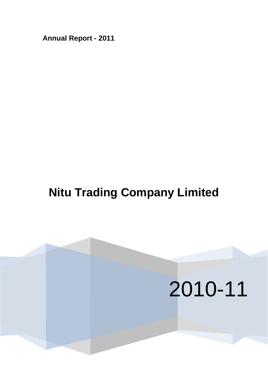**Annual Report - 2011**

# **Nitu Trading Company Limited**

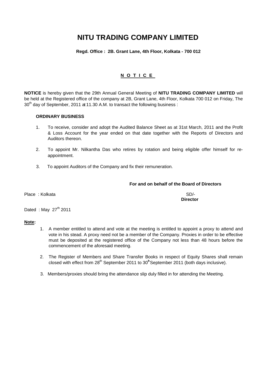**Regd. Office : 2B. Grant Lane, 4th Floor, Kolkata - 700 012**

### **NOTIC E**

**NOTICE** is hereby given that the 29th Annual General Meeting of **NITU TRADING COMPANY LIMITED** will be held at the Registered office of the company at 2B, Grant Lane, 4th Floor, Kolkata 700 012 on Friday, The  $30<sup>th</sup>$  day of September, 2011 at 11.30 A.M. to transact the following business :

### **ORDINARY BUSINESS**

- 1. To receive, consider and adopt the Audited Balance Sheet as at 31st March, 2011 and the Profit & Loss Account for the year ended on that date together with the Reports of Directors and Auditors thereon.
- 2. To appoint Mr. Nilkantha Das who retires by rotation and being eligible offer himself for reappointment.
- 3. To appoint Auditors of the Company and fix their remuneration.

### **For and on behalf of the Board of Directors**

Place : Kolkata SD/-

**Director**

Dated : May  $27<sup>th</sup>$  2011

### **Note:**

- 1. A member entitled to attend and vote at the meeting is entitled to appoint a proxy to attend and vote in his stead. A proxy need not be a member of the Company. Proxies in order to be effective must be deposited at the registered office of the Company not less than 48 hours before the commencement of the aforesaid meeting.
- 2. The Register of Members and Share Transfer Books in respect of Equity Shares shall remain closed with effect from 28<sup>th</sup> September 2011 to 30<sup>th</sup> September 2011 (both days inclusive).
- 3. Members/proxies should bring the attendance slip duly filled in for attending the Meeting.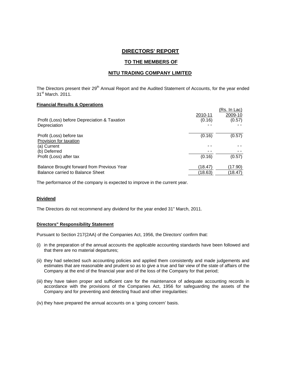### **DIRECTORS' REPORT**

### **TO THE MEMBERS OF**

### **NITU TRADING COMPANY LIMITED**

The Directors present their 29<sup>th</sup> Annual Report and the Audited Statement of Accounts, for the year ended 31<sup>st</sup> March. 2011.

### **Financial Results & Operations**

| Profit (Loss) before Depreciation & Taxation | 2010-11<br>(0.16) | (Rs. In Lac)<br>2009-10<br>(0.57) |
|----------------------------------------------|-------------------|-----------------------------------|
| Depreciation                                 |                   |                                   |
| Profit (Loss) before tax                     | (0.16)            | (0.57)                            |
| Provision for taxation                       |                   |                                   |
| (a) Current                                  |                   |                                   |
| (b) Deferred                                 |                   |                                   |
| Profit (Loss) after tax                      | (0.16)            | (0.57)                            |
| Balance Brought forward from Previous Year   | (18.47)           | (17.90)                           |
| Balance carried to Balance Sheet             | (18.63)           | (18.47)                           |

The performance of the company is expected to improve in the current year.

### **Dividend**

The Directors do not recommend any dividend for the year ended 31" March, 2011.

### **Directors" Responsibility Statement**

Pursuant to Section 217(2AA) of the Companies Act, 1956, the Directors' confirm that:

- (i) in the preparation of the annual accounts the applicable accounting standards have been followed and that there are no material departures;
- (ii) they had selected such accounting policies and applied them consistently and made judgements and estimates that are reasonable and prudent so as to give a true and fair view of the state of affairs of the Company at the end of the financial year and of the loss of the Company for that period;
- (iii) they have taken proper and sufficient care for the maintenance of adequate accounting records in accordance with the provisions of the Companies Act, 1956 for safeguarding the assets of the Company and for preventing and detecting fraud and other irregularities:
- (iv) they have prepared the annual accounts on a 'going concern' basis.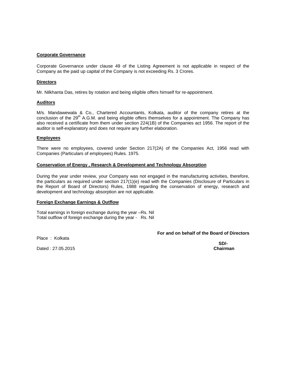### **Corporate Governance**

Corporate Governance under clause 49 of the Listing Agreement is not applicable in respect of the Company as the paid up capital of the Company is not exceeding Rs. 3 Crores.

### **Directors**

Mr. Nilkhanta Das, retires by rotation and being eligible offers himself for re-appointment.

### **Auditors**

M/s. Mandawewala & Co., Chartered Accountants, Kolkata, auditor of the company retires at the conclusion of the 29<sup>th</sup> A.G.M. and being eligible offers themselves for a appointment. The Company has also received a certificate from them under section 224(1B) of the Companies act 1956. The report of the auditor is self-explanatory and does not require any further elaboration.

#### **Employees**

There were no employees, covered under Section 217(2A) of the Companies Act, 1956 read with Companies (Particulars of employees) Rules. 1975.

### **Conservation of Energy , Research & Development and Technology Absorption**

During the year under review, your Company was not engaged in the manufacturing activities, therefore, the particulars as required under section 217(1)(e) read with the Companies (Disclosure of Particulars in the Report of Board of Directors) Rules, 1988 regarding the conservation of energy, research and development and technology absorption are not applicable.

### **Foreign Exchange Earnings & Outflow**

Total earnings in foreign exchange during the year –Rs. Nil Total outflow of foreign exchange during the year - Rs. Nil

### **For and on behalf of the Board of Directors**

Place : Kolkata

Dated : 27.05.2015 **Chairman** 

**SD/-**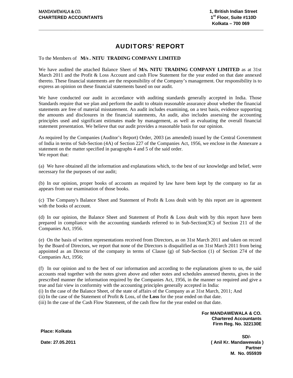### AUDITORS' REPORT

\_\_\_\_\_\_\_\_\_\_\_\_\_\_\_\_\_\_\_\_\_\_\_\_\_\_\_\_\_\_\_\_\_\_\_\_\_\_\_\_\_\_\_\_\_\_\_\_\_\_\_\_\_\_\_\_\_\_\_\_\_\_\_\_\_\_\_\_\_\_\_\_\_\_\_\_\_\_\_\_\_\_\_\_\_\_\_\_\_\_\_\_\_\_\_\_\_\_\_\_\_\_\_\_\_\_\_\_\_\_\_

### To the Members of **M/s** *.* **NITU TRADING COMPANY LIMITED**

We have audited the attached Balance Sheet of **M/s. NITU TRADING COMPANY LIMITED** as at 31st March 2011 and the Profit & Loss Account and cash Flow Statement for the year ended on that date annexed thereto. These financial statements are the responsibility of the Company's management. Our responsibility is to express an opinion on these financial statements based on our audit.

We have conducted our audit in accordance with auditing standards generally accepted in India. Those Standards require that we plan and perform the audit to obtain reasonable assurance about whether the financial statements are free of material misstatement. An audit includes examining, on a test basis, evidence supporting the amounts and disclosures in the financial statements, An audit, also includes assessing the accounting principles used and significant estimates made by management, as well as evaluating the overall financial statement presentation. We believe that our audit provides a reasonable basis for our opinion.

As required by the Companies (Auditor's Report) Order, 2003 (as amended) issued by the Central Government of India in terms of Sub-Section (4A) of Section 227 of the Companies Act, 1956, we enclose in the Annexure a statement on the matter specified in paragraphs 4 and 5 of the said order. We report that:

(a) We have obtained all the information and explanations which, to the best of our knowledge and belief, were necessary for the purposes of our audit;

(b) In our opinion, proper books of accounts as required by law have been kept by the company so far as appears from our examination of those books.

(c) The Company's Balance Sheet and Statement of Profit & Loss dealt with by this report are in agreement with the books of account.

(d) In our opinion, the Balance Sheet and Statement of Profit & Loss dealt with by this report have been prepared in compliance with the accounting standards referred to in Sub-Section(3C) of Section 211 of the Companies Act, 1956.

(e) On the basis of written representations received from Directors, as on 31st March 2011 and taken on record by the Board of Directors, we report that none of the Directors is disqualified as on 31st March 2011 from being appointed as an Director of the company in terms of Clause (g) of Sub-Section (1) of Section 274 of the Companies Act, 1956;

(f) In our opinion and to the best of our information and according to the explanations given to us, the said accounts read together with the notes given above and other notes and schedules annexed thereto, gives in the prescribed manner the information required by the Companies Act, 1956, in the manner so required and give a true and fair view in conformity with the accounting principles generally accepted in India:

(i) In the case of the Balance Sheet, of the state of affairs of the Company as at 31st March, 2011; And

(ii) In the case of the Statement of Profit & Loss, of the **Loss** for the year ended on that date.

(iii) In the case of the Cash Flow Statement, of the cash flow for the year ended on that date.

 **For MANDAWEWALA & CO. Chartered Accountants Firm Reg. No. 322130E** 

**Place: Kolkata** 

**SD/- Date: 27.05.2011 ( Anil Kr. Mandawewala ) Partner M. No. 055939**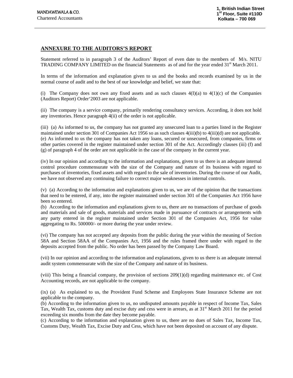### **ANNEXURE TO THE AUDITORS'S REPORT**

Statement referred to in paragraph 3 of the Auditors' Report of even date to the members of M/s. NITU **TRADING COMPANY LIMITED** on the financial Statements as of and for the year ended  $31<sup>st</sup>$  March 2011.

In terms of the information and explanation given to us and the books and records examined by us in the normal course of audit and to the best of our knowledge and belief, we state that:

(i) The Company does not own any fixed assets and as such clauses  $4(I)(a)$  to  $4(I)(c)$  of the Companies (Auditors Report) Order'2003 are not applicable.

(ii) The company is a service company, primarily rendering consultancy services. According, it does not hold any inventories. Hence paragraph 4(ii) of the order is not applicable.

(iii) (a) As informed to us, the company has not granted any unsecured loan to a parties listed in the Register maintained under section 301 of Companies Act 1956 so as such clauses  $4(iii)(b)$  to  $4(iii)(d)$  are not applicable. (e) As informed to us the company has not taken any loans, secured or unsecured, from companies, firms or other parties covered in the register maintained under section 301 of the Act. Accordingly clauses (iii) (f) and (g) of paragraph 4 of the order are not applicable in the case of the company in the current year.

(iv) In our opinion and according to the information and explanations, given to us there is an adequate internal control procedure commensurate with the size of the Company and nature of its business with regard to purchases of inventories, fixed assets and with regard to the sale of inventories. During the course of our Audit, we have not observed any continuing failure to correct major weaknesses in internal controls.

(v) (a) According to the information and explanations given to us, we are of the opinion that the transactions that need to be entered, if any, into the register maintained under section 301 of the Companies Act 1956 have been so entered.

 (b) According to the information and explanations given to us, there are no transactions of purchase of goods and materials and sale of goods, materials and services made in pursuance of contracts or arrangements with any party entered in the register maintained under Section 301 of the Companies Act, 1956 for value aggregating to Rs. 500000/- or more during the year under review.

(vi) The company has not accepted any deposits from the public during the year within the meaning of Section 58A and Section 58AA of the Companies Act, 1956 and the rules framed there under with regard to the deposits accepted from the public. No order has been passed by the Company Law Board.

(vii) In our opinion and according to the information and explanations, given to us there is an adequate internal audit system commensurate with the size of the Company and nature of its business.

(viii) This being a financial company, the provision of sections 209(1)(d) regarding maintenance etc. of Cost Accounting records, are not applicable to the company.

(ix) (a) As explained to us, the Provident Fund Scheme and Employees State Insurance Scheme are not applicable to the company.

(b) According to the information given to us, no undisputed amounts payable in respect of Income Tax, Sales Tax, Wealth Tax, customs duty and excise duty and cess were in arrears, as at 31<sup>st</sup> March 2011 for the period exceeding six months from the date they become payable.

(c) According to the information and explanation given to us, there are no dues of Sales Tax, Income Tax, Customs Duty, Wealth Tax, Excise Duty and Cess, which have not been deposited on account of any dispute.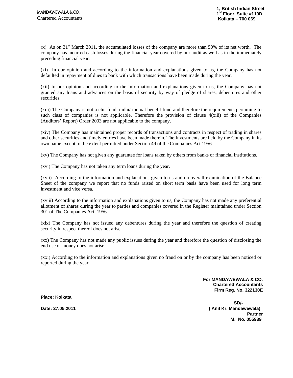(x) As on  $31<sup>st</sup>$  March 2011, the accumulated losses of the company are more than 50% of its net worth. The company has incurred cash losses during the financial year covered by our audit as well as in the immediately preceding financial year.

(xi) In our opinion and according to the information and explanations given to us, the Company has not defaulted in repayment of dues to bank with which transactions have been made during the year.

(xii) In our opinion and according to the information and explanations given to us, the Company has not granted any loans and advances on the basis of security by way of pledge of shares, debentures and other securities.

(xiii) The Company is not a chit fund, nidhi/ mutual benefit fund and therefore the requirements pertaining to such class of companies is not applicable. Therefore the provision of clause 4(xiii) of the Companies (Auditors' Report) Order 2003 are not applicable to the company.

(xiv) The Company has maintained proper records of transactions and contracts in respect of trading in shares and other securities and timely entries have been made therein. The Investments are held by the Company in its own name except to the extent permitted under Section 49 of the Companies Act 1956.

(xv) The Company has not given any guarantee for loans taken by others from banks or financial institutions.

(xvi) The Company has not taken any term loans during the year.

(xvii) According to the information and explanations given to us and on overall examination of the Balance Sheet of the company we report that no funds raised on short term basis have been used for long term investment and vice versa.

(xviii) According to the information and explanations given to us, the Company has not made any preferential allotment of shares during the year to parties and companies covered in the Register maintained under Section 301 of The Companies Act, 1956.

(xix) The Company has not issued any debentures during the year and therefore the question of creating security in respect thereof does not arise.

(xx) The Company has not made any public issues during the year and therefore the question of disclosing the end use of money does not arise.

(xxi) According to the information and explanations given no fraud on or by the company has been noticed or reported during the year.

> **For MANDAWEWALA & CO. Chartered Accountants Firm Reg. No. 322130E**

**Place: Kolkata** 

**SD/- Date: 27.05.2011 ( Anil Kr. Mandawewala) Partner M. No. 055939**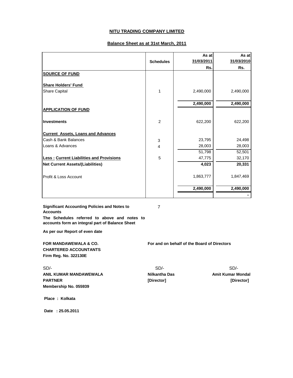### **Balance Sheet as at 31st March, 2011**

|                                                 | <b>Schedules</b>          | As at<br>31/03/2011 | As at<br>31/03/2010 |
|-------------------------------------------------|---------------------------|---------------------|---------------------|
|                                                 |                           | Rs.                 | Rs.                 |
| <b>SOURCE OF FUND</b>                           |                           |                     |                     |
| <b>Share Holders' Fund</b>                      |                           |                     |                     |
| <b>Share Capital</b>                            | 1                         | 2,490,000           | 2,490,000           |
|                                                 |                           |                     |                     |
|                                                 |                           | 2,490,000           | 2,490,000           |
| <b>APPLICATION OF FUND</b>                      |                           |                     |                     |
|                                                 |                           |                     |                     |
| <b>Investments</b>                              | $\overline{2}$            | 622,200             | 622,200             |
| <b>Current Assets, Loans and Advances</b>       |                           |                     |                     |
| Cash & Bank Balances                            | $\ensuremath{\mathsf{3}}$ | 23,795              | 24,498              |
| Loans & Advances                                | 4                         | 28,003              | 28,003              |
|                                                 |                           | 51,798              | 52,501              |
| <b>Less: Current Liabilities and Provisions</b> | 5                         | 47,775              | 32,170              |
| <b>Net Current Assets/(Liabilities)</b>         |                           | 4,023               | 20,331              |
| Profit & Loss Account                           |                           | 1,863,777           | 1,847,469           |
|                                                 |                           | 2,490,000           | 2,490,000           |
|                                                 |                           |                     |                     |

**Significant Accounting Policies and Notes to Accounts**

7

**The Schedules referred to above and notes to accounts form an integral part of Balance Sheet**

**As per our Report of even date**

**CHARTERED ACCOUNTANTS Firm Reg. No. 322130E**

**FOR MANDAWEWALA & CO. For and on behalf of the Board of Directors**

SD/- SD/- SD/- **ANIL KUMAR MANDAWEWALA Nilkantha Das PARTNER [Director] [Director] Membership No. 055939**

 **Place : Kolkata**

 **Date : 25.05.2011**

 **Amit Kumar Mondal**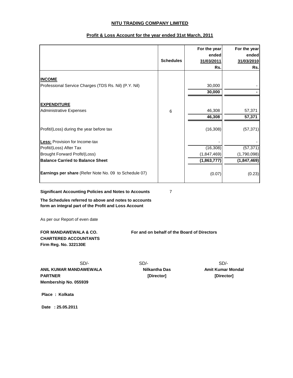|                                                              |                  | For the year | For the year  |
|--------------------------------------------------------------|------------------|--------------|---------------|
|                                                              |                  | ended        | ended         |
|                                                              | <b>Schedules</b> | 31/03/2011   | 31/03/2010    |
|                                                              |                  | Rs.          | Rs.           |
|                                                              |                  |              |               |
| <b>INCOME</b>                                                |                  |              |               |
| Professional Service Charges (TDS Rs. Nil) (P.Y. Nil)        |                  | 30,000       |               |
|                                                              |                  | 30,000       |               |
|                                                              |                  |              |               |
| <b>EXPENDITURE</b>                                           |                  |              |               |
| Administrative Expenses                                      | $6\phantom{1}6$  | 46,308       | 57,371        |
|                                                              |                  | 46,308       | 57,371        |
|                                                              |                  |              |               |
| Profit/(Loss) during the year before tax                     |                  | (16, 308)    | (57, 371)     |
|                                                              |                  |              |               |
| <b>Less: Provision for Income-tax</b>                        |                  |              |               |
| Profit/(Loss) After Tax                                      |                  | (16, 308)    | (57, 371)     |
| Brought Forward Profit/(Loss)                                |                  | (1,847,469)  | (1,790,098)   |
| <b>Balance Carried to Balance Sheet</b>                      |                  | (1,863,777)  | (1, 847, 469) |
|                                                              |                  |              |               |
| <b>Earnings per share</b> (Refer Note No. 09 to Schedule 07) |                  | (0.07)       | (0.23)        |
|                                                              |                  |              |               |

### **Profit & Loss Account for the year ended 31st March, 2011**

**Significant Accounting Policies and Notes to Accounts**

7

**The Schedules referred to above and notes to accounts form an integral part of the Profit and Loss Account**

As per our Report of even date

# **CHARTERED ACCOUNTANTS Firm Reg. No. 322130E**

**FOR MANDAWEWALA & CO. For and on behalf of the Board of Directors**

**ANIL KUMAR MANDAWEWALA PARTNER Membership No. 055939**

 **Place : Kolkata**

 **Date : 25.05.2011**

SD/- SD/- SD/- **Nilkantha Das [Director]**

**Amit Kumar Mondal [Director]**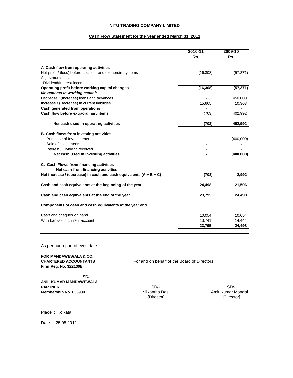### **Cash Flow Statement for the year ended March 31, 2011**

|                                                                                                        | 2010-11   | 2009-10   |
|--------------------------------------------------------------------------------------------------------|-----------|-----------|
|                                                                                                        | Rs.       | Rs.       |
|                                                                                                        |           |           |
| A. Cash flow from operating activities<br>Net profit / (loss) before taxation, and extraordinary items | (16, 308) | (57, 371) |
| Adjustments for:                                                                                       |           |           |
| Dividend/Interest income                                                                               |           |           |
| Operating profit before working capital changes                                                        | (16, 308) | (57, 371) |
| <b>Movements in working capital:</b>                                                                   |           |           |
| Decrease / (Increase) loans and advances                                                               |           | 450,000   |
| Increase / (Decrease) in current liabilities                                                           | 15,605    | 10,363    |
| <b>Cash generated from operations</b>                                                                  |           |           |
| Cash flow before extraordinary items                                                                   | (703)     | 402,992   |
| Net cash used in operating activities                                                                  | (703)     | 402,992   |
| B. Cash flows from investing activities                                                                |           |           |
| Purchase of Investments                                                                                |           | (400,000) |
| Sale of investments                                                                                    |           |           |
| Interest / Dividend received                                                                           |           |           |
| Net cash used in investing activities                                                                  |           | (400,000) |
| C. Cash Flows from financing activities                                                                |           |           |
| Net cash from financing activities                                                                     |           |           |
| Net increase / (decrease) in cash and cash equivalents $(A + B + C)$                                   | (703)     | 2,992     |
| Cash and cash equivalents at the beginning of the year                                                 | 24,498    | 21,506    |
| Cash and cash equivalents at the end of the year                                                       | 23,795    | 24,498    |
| Components of cash and cash equivalents at the year end                                                |           |           |
| Cash and cheques on hand                                                                               | 10,054    | 10,054    |
| With banks - in current account                                                                        | 13,741    | 14,444    |
|                                                                                                        | 23,795    | 24,498    |
|                                                                                                        |           |           |

As per our report of even date

**FOR MANDAWEWALA & CO. Firm Reg. No. 322130E**

SD/- **ANIL KUMAR MANDAWEWALA PARTNER** SD/- SD/- SD/-**Membership No. 055939 Nilkantha Das** Amit Kumar Mondal

For and on behalf of the Board of Directors

[Director] [Director]

Place : Kolkata

Date : 25.05.2011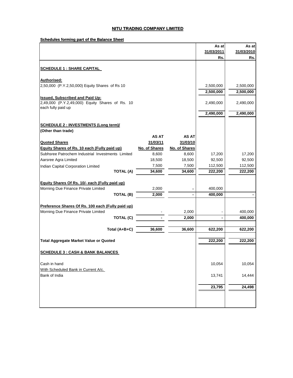**Schedules forming part of the Balance Sheet**

|                                                                       |                 |                 | As at             | As at             |
|-----------------------------------------------------------------------|-----------------|-----------------|-------------------|-------------------|
|                                                                       |                 |                 | 31/03/2011        | 31/03/2010        |
|                                                                       |                 |                 | Rs.               | Rs.               |
| <b>SCHEDULE 1 : SHARE CAPITAL</b>                                     |                 |                 |                   |                   |
|                                                                       |                 |                 |                   |                   |
| Authorised:                                                           |                 |                 |                   |                   |
| 2,50,000 (P.Y.2,50,000) Equity Shares of Rs 10                        |                 |                 | 2,500,000         | 2,500,000         |
|                                                                       |                 |                 | 2,500,000         | 2,500,000         |
| <b>Issued, Subscribed and Paid Up:</b>                                |                 |                 |                   |                   |
| 2,49,000 (P.Y.2,49,000) Equity Shares of Rs. 10<br>each fully paid up |                 |                 | 2,490,000         | 2,490,000         |
|                                                                       |                 |                 | 2,490,000         | 2,490,000         |
|                                                                       |                 |                 |                   |                   |
| <b>SCHEDULE 2 : INVESTMENTS (Long term)/</b>                          |                 |                 |                   |                   |
| (Other than trade)                                                    |                 |                 |                   |                   |
|                                                                       | <b>AS AT</b>    | <b>AS AT</b>    |                   |                   |
| <b>Quoted Shares</b>                                                  | 31/03/11        | 31/03/10        |                   |                   |
| <b>Equity Shares of Rs. 10 each (Fully paid up)</b>                   | No. of Shares   | No. of Shares   |                   |                   |
| Subhsree Patrochem Industrial Investments Limited                     | 8,600           | 8,600           | 17,200            | 17,200            |
| Aarsree Agra Limited                                                  | 18,500<br>7,500 | 18,500<br>7,500 | 92,500<br>112,500 | 92,500<br>112,500 |
| Indian Capital Corporation Limited<br><b>TOTAL (A)</b>                | 34,600          | 34,600          | 222,200           | 222,200           |
|                                                                       |                 |                 |                   |                   |
| Equity Shares Of Rs. 10/- each (Fully paid up)                        |                 |                 |                   |                   |
| Morning Due Finance Private Limited                                   | 2,000           |                 | 400,000           |                   |
| TOTAL (B)                                                             | 2,000           |                 | 400,000           |                   |
|                                                                       |                 |                 |                   |                   |
| Preference Shares Of Rs. 100 each (Fully paid up)                     |                 |                 |                   |                   |
| Morning Due Finance Private Limited                                   |                 | 2,000           |                   | 400,000           |
| <b>TOTAL (C)</b>                                                      |                 | 2,000           |                   | 400,000           |
| Total (A+B+C)                                                         | 36,600          | 36,600          | 622,200           | 622,200           |
|                                                                       |                 |                 |                   |                   |
| <b>Total Aggregate Market Value or Quoted</b>                         |                 |                 | 222,200           | 222,200           |
|                                                                       |                 |                 |                   |                   |
| <b>SCHEDULE 3 : CASH &amp; BANK BALANCES</b>                          |                 |                 |                   |                   |
| Cash in hand                                                          |                 |                 |                   |                   |
| With Scheduled Bank in Current A/c.                                   |                 |                 | 10,054            | 10,054            |
| Bank of India                                                         |                 |                 | 13,741            | 14,444            |
|                                                                       |                 |                 |                   |                   |
|                                                                       |                 |                 | 23,795            | 24,498            |
|                                                                       |                 |                 |                   |                   |
|                                                                       |                 |                 |                   |                   |
|                                                                       |                 |                 |                   |                   |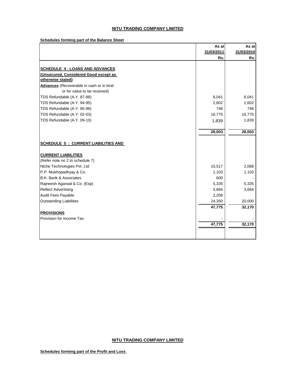**Schedules forming part of the Balance Sheet**

|                                                 | As at      | As at      |
|-------------------------------------------------|------------|------------|
|                                                 | 31/03/2011 | 31/03/2010 |
|                                                 | Rs.        | Rs.        |
|                                                 |            |            |
| <b>SCHEDULE 4 : LOANS AND ADVANCES</b>          |            |            |
| (Unsecured, Considered Good except as           |            |            |
| otherwise stated)                               |            |            |
| <b>Advances</b> (Recoverable in cash or in kind |            |            |
| or for value to be received)                    |            |            |
| TDS Refundable (A.Y. 87-88)                     | 6,041      | 6,041      |
| TDS Refundable (A.Y. 94-95)                     | 2,602      | 2,602      |
| TDS Refundable (A.Y. 95-96)                     | 746        | 746        |
| TDS Refundable (A.Y. 02-03)                     | 16,775     | 16,775     |
| TDS Refundable (A.Y. 09-10)                     | 1,839      | 1,839      |
|                                                 | 28,003     | 28,003     |
|                                                 |            |            |
| <b>SCHEDULE 5 : CURRENT LIABILITIES AND</b>     |            |            |
| <b>CURRENT LIABILITIES</b>                      |            |            |
| (Refer note no 2 to schedule 7)                 |            |            |
| Niche Technologies Pvt. Ltd                     | 10,517     | 2,068      |
| P.P. Mukhopadhyay & Co.                         | 1,103      | 1,103      |
| <b>B.K. Barik &amp; Associates</b>              | 600        |            |
| Rajneesh Agarwal & Co. (Exp)                    | 5,335      | 5,335      |
| <b>Reflect Advertising</b>                      | 3,664      | 3,664      |
| <b>Audit Fees Payable</b>                       | 2,206      |            |
| <b>Outstanding Liabilities</b>                  | 24,350     | 20,000     |
|                                                 | 47,775     | 32,170     |
| <b>PROVISIONS</b>                               |            |            |
| Provision for Income Tax                        |            |            |
|                                                 | 47,775     | 32,170     |
|                                                 |            |            |
|                                                 |            |            |

### **NITU TRADING COMPANY LIMITED**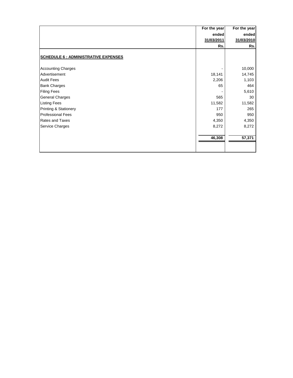|                                             | For the year | For the year |
|---------------------------------------------|--------------|--------------|
|                                             | ended        | ended        |
|                                             | 31/03/2011   | 31/03/2010   |
|                                             | Rs.          | Rs.          |
|                                             |              |              |
| <b>SCHEDULE 6 : ADMINISTRATIVE EXPENSES</b> |              |              |
|                                             |              |              |
| <b>Accounting Charges</b>                   |              | 10,000       |
| Advertisement                               | 18,141       | 14,745       |
| <b>Audit Fees</b>                           | 2,206        | 1,103        |
| <b>Bank Charges</b>                         | 65           | 464          |
| <b>Filing Fees</b>                          |              | 5,610        |
| <b>General Charges</b>                      | 565          | 30           |
| <b>Listing Fees</b>                         | 11,582       | 11,582       |
| Printing & Stationery                       | 177          | 265          |
| <b>Professional Fees</b>                    | 950          | 950          |
| <b>Rates and Taxes</b>                      | 4,350        | 4,350        |
| Service Charges                             | 8,272        | 8,272        |
|                                             |              |              |
|                                             | 46,308       | 57,371       |
|                                             |              |              |
|                                             |              |              |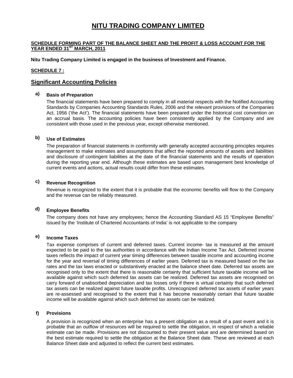### **SCHEDULE FORMING PART OF THE BALANCE SHEET AND THE PROFIT & LOSS ACCOUNT FOR THE**  YEAR ENDED 31<sup>ST</sup> MARCH, 2011

**Nitu Trading Company Limited is engaged in the business of Investment and Finance.** 

### **SCHEDULE 7 :**

### **Significant Accounting Policies**

### **a) Basis of Preparation**

The financial statements have been prepared to comply in all material respects with the Notified Accounting Standards by Companies Accounting Standards Rules, 2006 and the relevant provisions of the Companies Act, 1956 ('the Act'). The financial statements have been prepared under the historical cost convention on an accrual basis. The accounting policies have been consistently applied by the Company and are consistent with those used in the previous year, except otherwise mentioned.

### **b) Use of Estimates**

The preparation of financial statements in conformity with generally accepted accounting principles requires management to make estimates and assumptions that affect the reported amounts of assets and liabilities and disclosure of contingent liabilities at the date of the financial statements and the results of operation during the reporting year end. Although these estimates are based upon management best knowledge of current events and actions, actual results could differ from these estimates.

### **c) Revenue Recognition**

Revenue is recognized to the extent that it is probable that the economic benefits will flow to the Company and the revenue can be reliably measured.

### **d) Employee Benefits**

The company does not have any employees; hence the Accounting Standard AS 15 "Employee Benefits" issued by the 'Institute of Chartered Accountants of India' is not applicable to the company

### **e) Income Taxes**

Tax expense comprises of current and deferred taxes. Current income- tax is measured at the amount expected to be paid to the tax authorities in accordance with the Indian Income Tax Act. Deferred income taxes reflects the impact of current year timing differences between taxable income and accounting income for the year and reversal of timing differences of earlier years. Deferred tax is measured based on the tax rates and the tax laws enacted or substantively enacted at the balance sheet date. Deferred tax assets are recognised only to the extent that there is reasonable certainty that sufficient future taxable income will be available against which such deferred tax assets can be realized. Deferred tax assets are recognised on carry forward of unabsorbed depreciation and tax losses only if there is virtual certainty that such deferred tax assets can be realized against future taxable profits. Unrecognized deferred tax assets of earlier years are re-assessed and recognised to the extent that it has become reasonably certain that future taxable income will be available against which such deferred tax assets can be realized.

### **f) Provisions**

A provision is recognized when an enterprise has a present obligation as a result of a past event and it is probable that an outflow of resources will be required to settle the obligation, in respect of which a reliable estimate can be made. Provisions are not discounted to their present value and are determined based on the best estimate required to settle the obligation at the Balance Sheet date. These are reviewed at each Balance Sheet date and adjusted to reflect the current best estimates.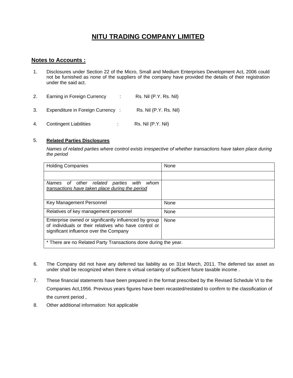### **Notes to Accounts :**

- 1. Disclosures under Section 22 of the Micro, Small and Medium Enterprises Development Act, 2006 could not be furnished as none of the suppliers of the company have provided the details of their registration under the said act.
- 2. Earning in Foreign Currency : Rs. Nil (P.Y. Rs. Nil) 3. Expenditure in Foreign Currency : Rs. Nil (P.Y. Rs. Nil)
- 4. Contingent Liabilities : Rs. Nil (P.Y. Nil)

### 5. **Related Parties Disclosures**

*Names of related parties where control exists irrespective of whether transactions have taken place during the period* 

| <b>Holding Companies</b>                                                                                                                                 | None |
|----------------------------------------------------------------------------------------------------------------------------------------------------------|------|
|                                                                                                                                                          |      |
| related<br>other<br>parties<br>with<br><b>Names</b><br>whom<br>of _<br>transactions have taken place during the period                                   |      |
| Key Management Personnel                                                                                                                                 | None |
| Relatives of key management personnel                                                                                                                    | None |
| Enterprise owned or significantly influenced by group<br>of individuals or their relatives who have control or<br>significant influence over the Company | None |
| * There are no Related Party Transactions done during the year.                                                                                          |      |

- 6. The Company did not have any deferred tax liability as on 31st March, 2011. The deferred tax asset as under shall be recognized when there is virtual certainty of sufficient future taxable income .
- 7. These financial statements have been prepared in the format prescribed by the Revised Schedule VI to the Companies Act,1956. Previous years figures have been recasted/restated to confirm to the classification of the current period ,
- 8. Other additional information: Not applicable